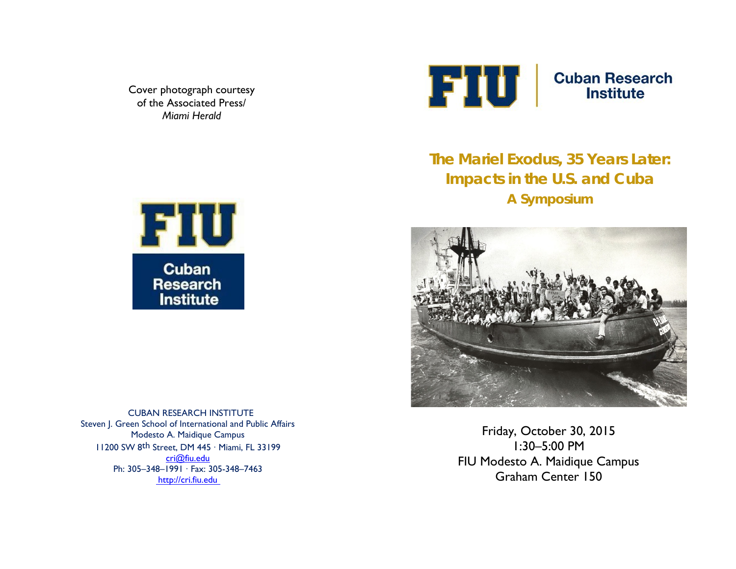Cover photograph courtesy of the Associated Press/ *Miami Herald*



**Cuban Research Institute** 

**The Mariel Exodus, 35 Years Later: Impacts in the U.S. and Cuba A Symposium**



Friday, October 30, 2015 1:30–5:00 PM FIU Modesto A. Maidique Campus Graham Center 150



CUBAN RESEARCH INSTITUTE Steven J. Green School of International and Public Affairs Modesto A. Maidique Campus 11200 SW 8th Street, DM 445 ∙ Miami, FL 33199 [cri@fiu.edu](mailto:cri@fiu.edu) Ph: 30[5–348–](mailto:cri@fiu.edu)1991 ∙ Fax: 305-348–7463 [http://cri.fiu.edu](http://cri.fiu.edu/)